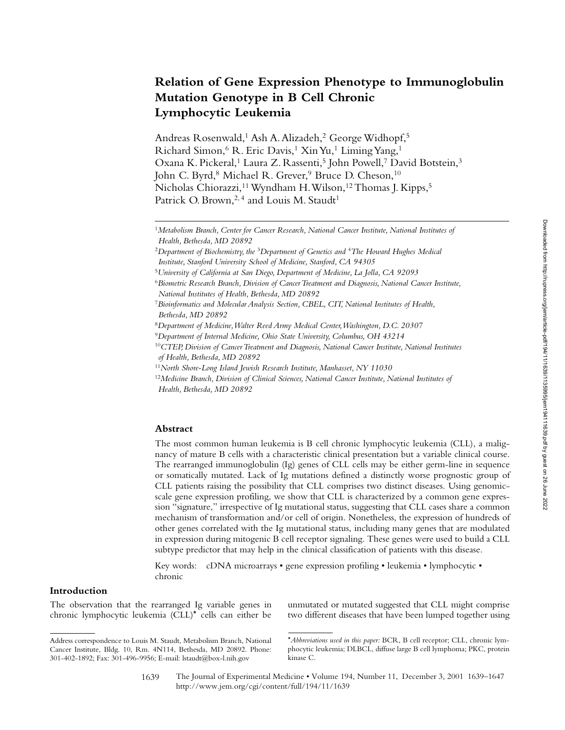# **Relation of Gene Expression Phenotype to Immunoglobulin Mutation Genotype in B Cell Chronic Lymphocytic Leukemia**

Andreas Rosenwald,<sup>1</sup> Ash A. Alizadeh,<sup>2</sup> George Widhopf,<sup>5</sup> Richard Simon,<sup>6</sup> R. Eric Davis,<sup>1</sup> Xin Yu,<sup>1</sup> Liming Yang,<sup>1</sup> Oxana K. Pickeral,<sup>1</sup> Laura Z. Rassenti,<sup>5</sup> John Powell,<sup>7</sup> David Botstein,<sup>3</sup> John C. Byrd,<sup>8</sup> Michael R. Grever,<sup>9</sup> Bruce D. Cheson,<sup>10</sup> Nicholas Chiorazzi,<sup>11</sup> Wyndham H. Wilson,<sup>12</sup> Thomas J. Kipps,<sup>5</sup> Patrick O. Brown,<sup>2,4</sup> and Louis M. Staudt<sup>1</sup>

<sup>5</sup>*University of California at San Diego, Department of Medicine, La Jolla, CA 92093*

## **Abstract**

The most common human leukemia is B cell chronic lymphocytic leukemia (CLL), a malignancy of mature B cells with a characteristic clinical presentation but a variable clinical course. The rearranged immunoglobulin (Ig) genes of CLL cells may be either germ-line in sequence or somatically mutated. Lack of Ig mutations defined a distinctly worse prognostic group of CLL patients raising the possibility that CLL comprises two distinct diseases. Using genomicscale gene expression profiling, we show that CLL is characterized by a common gene expression "signature," irrespective of Ig mutational status, suggesting that CLL cases share a common mechanism of transformation and/or cell of origin. Nonetheless, the expression of hundreds of other genes correlated with the Ig mutational status, including many genes that are modulated in expression during mitogenic B cell receptor signaling. These genes were used to build a CLL subtype predictor that may help in the clinical classification of patients with this disease.

Key words: cDNA microarrays • gene expression profiling • leukemia • lymphocytic • chronic

## **Introduction**

The observation that the rearranged Ig variable genes in chronic lymphocytic leukemia (CLL)\* cells can either be

<sup>1</sup>*Metabolism Branch, Center for Cancer Research, National Cancer Institute, National Institutes of Health, Bethesda, MD 20892*

<sup>2</sup>*Department of Biochemistry, the* <sup>3</sup>*Department of Genetics and* <sup>4</sup>*The Howard Hughes Medical Institute, Stanford University School of Medicine, Stanford, CA 94305*

<sup>6</sup>*Biometric Research Branch, Division of Cancer Treatment and Diagnosis, National Cancer Institute, National Institutes of Health, Bethesda, MD 20892*

<sup>7</sup>*Bioinformatics and Molecular Analysis Section, CBEL, CIT, National Institutes of Health, Bethesda, MD 20892*

<sup>8</sup>*Department of Medicine, Walter Reed Army Medical Center, Washington, D.C. 20307*

<sup>9</sup>*Department of Internal Medicine, Ohio State University, Columbus, OH 43214*

<sup>10</sup>*CTEP, Division of Cancer Treatment and Diagnosis, National Cancer Institute, National Institutes of Health, Bethesda, MD 20892*

<sup>11</sup>*North Shore-Long Island Jewish Research Institute, Manhasset, NY 11030*

<sup>12</sup>*Medicine Branch, Division of Clinical Sciences, National Cancer Institute, National Institutes of Health, Bethesda, MD 20892*

Address correspondence to Louis M. Staudt, Metabolism Branch, National Cancer Institute, Bldg. 10, Rm. 4N114, Bethesda, MD 20892. Phone: 301-402-1892; Fax: 301-496-9956; E-mail: lstaudt@box-l.nih.gov

unmutated or mutated suggested that CLL might comprise two different diseases that have been lumped together using

<sup>\*</sup>*Abbreviations used in this paper:* BCR, B cell receptor; CLL, chronic lymphocytic leukemia; DLBCL, diffuse large B cell lymphoma; PKC, protein kinase C.

The Journal of Experimental Medicine • Volume 194, Number 11, December 3, 2001 1639–1647 http://www.jem.org/cgi/content/full/194/11/1639 1639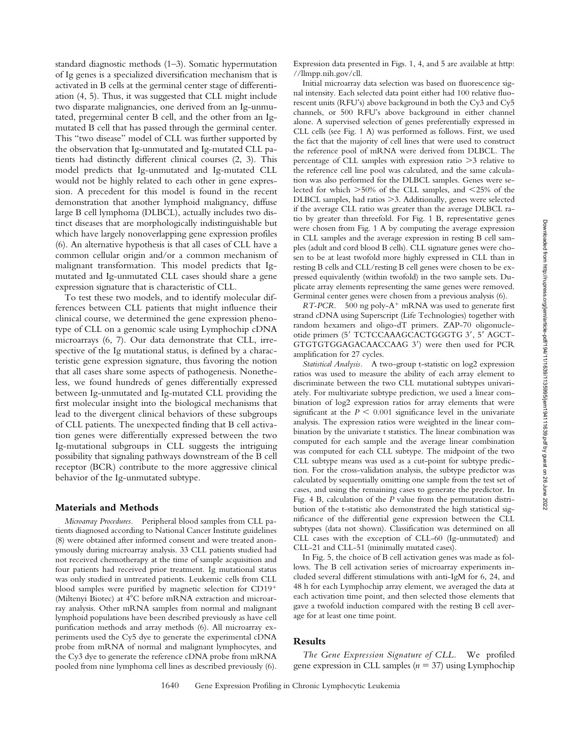standard diagnostic methods (1–3). Somatic hypermutation of Ig genes is a specialized diversification mechanism that is activated in B cells at the germinal center stage of differentiation (4, 5). Thus, it was suggested that CLL might include two disparate malignancies, one derived from an Ig-unmutated, pregerminal center B cell, and the other from an Igmutated B cell that has passed through the germinal center. This "two disease" model of CLL was further supported by the observation that Ig-unmutated and Ig-mutated CLL patients had distinctly different clinical courses (2, 3). This model predicts that Ig-unmutated and Ig-mutated CLL would not be highly related to each other in gene expression. A precedent for this model is found in the recent demonstration that another lymphoid malignancy, diffuse large B cell lymphoma (DLBCL), actually includes two distinct diseases that are morphologically indistinguishable but which have largely nonoverlapping gene expression profiles (6). An alternative hypothesis is that all cases of CLL have a common cellular origin and/or a common mechanism of malignant transformation. This model predicts that Igmutated and Ig-unmutated CLL cases should share a gene expression signature that is characteristic of CLL.

To test these two models, and to identify molecular differences between CLL patients that might influence their clinical course, we determined the gene expression phenotype of CLL on a genomic scale using Lymphochip cDNA microarrays (6, 7). Our data demonstrate that CLL, irrespective of the Ig mutational status, is defined by a characteristic gene expression signature, thus favoring the notion that all cases share some aspects of pathogenesis. Nonetheless, we found hundreds of genes differentially expressed between Ig-unmutated and Ig-mutated CLL providing the first molecular insight into the biological mechanisms that lead to the divergent clinical behaviors of these subgroups of CLL patients. The unexpected finding that B cell activation genes were differentially expressed between the two Ig-mutational subgroups in CLL suggests the intriguing possibility that signaling pathways downstream of the B cell receptor (BCR) contribute to the more aggressive clinical behavior of the Ig-unmutated subtype.

#### **Materials and Methods**

*Microarray Procedures.* Peripheral blood samples from CLL patients diagnosed according to National Cancer Institute guidelines (8) were obtained after informed consent and were treated anonymously during microarray analysis. 33 CLL patients studied had not received chemotherapy at the time of sample acquisition and four patients had received prior treatment. Ig mutational status was only studied in untreated patients. Leukemic cells from CLL blood samples were purified by magnetic selection for CD19- (Miltenyi Biotec) at 4°C before mRNA extraction and microarray analysis. Other mRNA samples from normal and malignant lymphoid populations have been described previously as have cell purification methods and array methods (6). All microarray experiments used the Cy5 dye to generate the experimental cDNA probe from mRNA of normal and malignant lymphocytes, and the Cy3 dye to generate the reference cDNA probe from mRNA pooled from nine lymphoma cell lines as described previously (6). Expression data presented in Figs. 1, 4, and 5 are available at http: //llmpp.nih.gov/cll.

Initial microarray data selection was based on fluorescence signal intensity. Each selected data point either had 100 relative fluorescent units (RFU's) above background in both the Cy3 and Cy5 channels, or 500 RFU's above background in either channel alone. A supervised selection of genes preferentially expressed in CLL cells (see Fig. 1 A) was performed as follows. First, we used the fact that the majority of cell lines that were used to construct the reference pool of mRNA were derived from DLBCL. The percentage of CLL samples with expression ratio  $>3$  relative to the reference cell line pool was calculated, and the same calculation was also performed for the DLBCL samples. Genes were selected for which  $>50\%$  of the CLL samples, and  $\leq 25\%$  of the  $DLBCL$  samples, had ratios  $\geq$ 3. Additionally, genes were selected if the average CLL ratio was greater than the average DLBCL ratio by greater than threefold. For Fig. 1 B, representative genes were chosen from Fig. 1 A by computing the average expression in CLL samples and the average expression in resting B cell samples (adult and cord blood B cells). CLL signature genes were chosen to be at least twofold more highly expressed in CLL than in resting B cells and CLL/resting B cell genes were chosen to be expressed equivalently (within twofold) in the two sample sets. Duplicate array elements representing the same genes were removed. Germinal center genes were chosen from a previous analysis (6).

RT-PCR. 500 ng poly-A<sup>+</sup> mRNA was used to generate first strand cDNA using Superscript (Life Technologies) together with random hexamers and oligo-dT primers. ZAP-70 oligonucleotide primers (5' TCTCCAAAGCACTGGGTG 3', 5' AGCT-GTGTGTGGAGACAACCAAG 3) were then used for PCR amplification for 27 cycles.

*Statistical Analysis.* A two-group t-statistic on log2 expression ratios was used to measure the ability of each array element to discriminate between the two CLL mutational subtypes univariately. For multivariate subtype prediction, we used a linear combination of log2 expression ratios for array elements that were significant at the  $P \leq 0.001$  significance level in the univariate analysis. The expression ratios were weighted in the linear combination by the univariate t statistics. The linear combination was computed for each sample and the average linear combination was computed for each CLL subtype. The midpoint of the two CLL subtype means was used as a cut-point for subtype prediction. For the cross-validation analysis, the subtype predictor was calculated by sequentially omitting one sample from the test set of cases, and using the remaining cases to generate the predictor. In Fig. 4 B, calculation of the *P* value from the permutation distribution of the t-statistic also demonstrated the high statistical significance of the differential gene expression between the CLL subtypes (data not shown). Classification was determined on all CLL cases with the exception of CLL-60 (Ig-unmutated) and CLL-21 and CLL-51 (minimally mutated cases).

In Fig. 5, the choice of B cell activation genes was made as follows. The B cell activation series of microarray experiments included several different stimulations with anti-IgM for 6, 24, and 48 h for each Lymphochip array element, we averaged the data at each activation time point, and then selected those elements that gave a twofold induction compared with the resting B cell average for at least one time point.

## **Results**

*The Gene Expression Signature of CLL.* We profiled gene expression in CLL samples  $(n = 37)$  using Lymphochip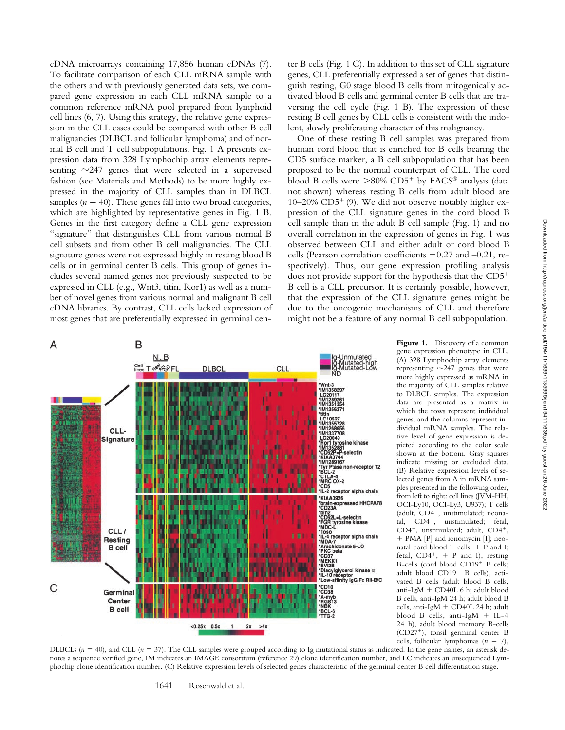cDNA microarrays containing 17,856 human cDNAs (7). To facilitate comparison of each CLL mRNA sample with the others and with previously generated data sets, we compared gene expression in each CLL mRNA sample to a common reference mRNA pool prepared from lymphoid cell lines (6, 7). Using this strategy, the relative gene expression in the CLL cases could be compared with other B cell malignancies (DLBCL and follicular lymphoma) and of normal B cell and T cell subpopulations. Fig. 1 A presents expression data from 328 Lymphochip array elements representing  $\sim$ 247 genes that were selected in a supervised fashion (see Materials and Methods) to be more highly expressed in the majority of CLL samples than in DLBCL samples  $(n = 40)$ . These genes fall into two broad categories, which are highlighted by representative genes in Fig. 1 B. Genes in the first category define a CLL gene expression "signature" that distinguishes CLL from various normal B cell subsets and from other B cell malignancies. The CLL signature genes were not expressed highly in resting blood B cells or in germinal center B cells. This group of genes includes several named genes not previously suspected to be expressed in CLL (e.g., Wnt3, titin, Ror1) as well as a number of novel genes from various normal and malignant B cell cDNA libraries. By contrast, CLL cells lacked expression of most genes that are preferentially expressed in germinal center B cells (Fig. 1 C). In addition to this set of CLL signature genes, CLL preferentially expressed a set of genes that distinguish resting, G0 stage blood B cells from mitogenically activated blood B cells and germinal center B cells that are traversing the cell cycle (Fig. 1 B). The expression of these resting B cell genes by CLL cells is consistent with the indolent, slowly proliferating character of this malignancy.

One of these resting B cell samples was prepared from human cord blood that is enriched for B cells bearing the CD5 surface marker, a B cell subpopulation that has been proposed to be the normal counterpart of CLL. The cord blood B cells were  $>$ 80% CD5<sup>+</sup> by FACS® analysis (data not shown) whereas resting B cells from adult blood are 10-20% CD5<sup>+</sup> (9). We did not observe notably higher expression of the CLL signature genes in the cord blood B cell sample than in the adult B cell sample (Fig. 1) and no overall correlation in the expression of genes in Fig. 1 was observed between CLL and either adult or cord blood B cells (Pearson correlation coefficients  $-0.27$  and  $-0.21$ , respectively). Thus, our gene expression profiling analysis does not provide support for the hypothesis that the CD5- B cell is a CLL precursor. It is certainly possible, however, that the expression of the CLL signature genes might be due to the oncogenic mechanisms of CLL and therefore might not be a feature of any normal B cell subpopulation.



Figure 1. Discovery of a common gene expression phenotype in CLL. (A) 328 Lymphochip array elements representing  $\sim$ 247 genes that were more highly expressed as mRNA in the majority of CLL samples relative to DLBCL samples. The expression data are presented as a matrix in which the rows represent individual genes, and the columns represent individual mRNA samples. The relative level of gene expression is depicted according to the color scale shown at the bottom. Gray squares indicate missing or excluded data. (B) Relative expression levels of selected genes from A in mRNA samples presented in the following order, from left to right: cell lines (JVM-HH, OCI-Ly10, OCI-Ly3, U937); T cells (adult, CD4<sup>+</sup>, unstimulated; neonatal, CD4-, unstimulated; fetal, CD4<sup>+</sup>, unstimulated; adult, CD4<sup>+</sup>, - PMA [P] and ionomycin [I]; neonatal cord blood T cells, + P and I; fetal,  $CD4^+$ , + P and I), resting B-cells (cord blood CD19<sup>+</sup> B cells; adult blood CD19- B cells), activated B cells (adult blood B cells, anti-IgM + CD40L 6 h; adult blood B cells, anti-IgM 24 h; adult blood B cells, anti-IgM + CD40L 24 h; adult blood B cells, anti-IgM + IL-4 24 h), adult blood memory B-cells (CD27-), tonsil germinal center B cells, follicular lymphomas  $(n = 7)$ ,



1641 Rosenwald et al.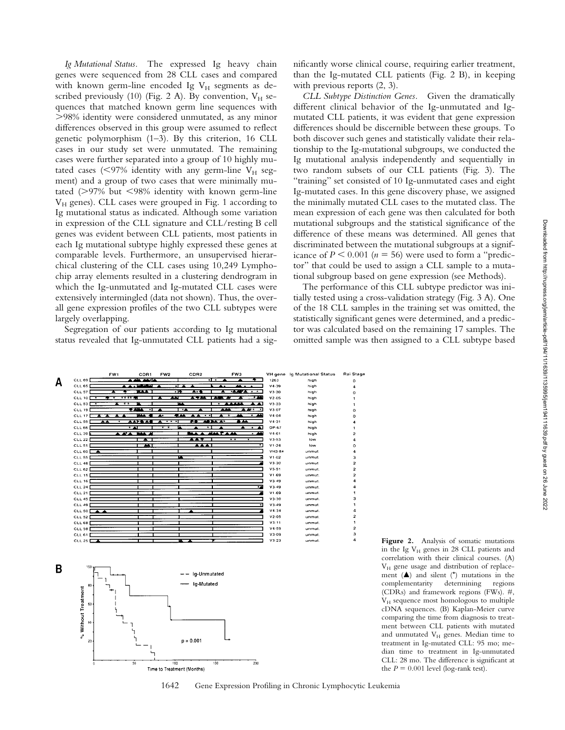*Ig Mutational Status.* The expressed Ig heavy chain genes were sequenced from 28 CLL cases and compared with known germ-line encoded Ig  $V_H$  segments as described previously (10) (Fig. 2 A). By convention,  $V_H$  sequences that matched known germ line sequences with 98% identity were considered unmutated, as any minor differences observed in this group were assumed to reflect genetic polymorphism (1–3). By this criterion, 16 CLL cases in our study set were unmutated. The remaining cases were further separated into a group of 10 highly mutated cases ( $\leq$ 97% identity with any germ-line V<sub>H</sub> segment) and a group of two cases that were minimally mutated  $(>97\%$  but  $\leq 98\%$  identity with known germ-line  $V_H$  genes). CLL cases were grouped in Fig. 1 according to Ig mutational status as indicated. Although some variation in expression of the CLL signature and CLL/resting B cell genes was evident between CLL patients, most patients in each Ig mutational subtype highly expressed these genes at comparable levels. Furthermore, an unsupervised hierarchical clustering of the CLL cases using 10,249 Lymphochip array elements resulted in a clustering dendrogram in which the Ig-unmutated and Ig-mutated CLL cases were extensively intermingled (data not shown). Thus, the overall gene expression profiles of the two CLL subtypes were largely overlapping.

Segregation of our patients according to Ig mutational status revealed that Ig-unmutated CLL patients had a significantly worse clinical course, requiring earlier treatment, than the Ig-mutated CLL patients (Fig. 2 B), in keeping with previous reports (2, 3).

*CLL Subtype Distinction Genes.* Given the dramatically different clinical behavior of the Ig-unmutated and Igmutated CLL patients, it was evident that gene expression differences should be discernible between these groups. To both discover such genes and statistically validate their relationship to the Ig-mutational subgroups, we conducted the Ig mutational analysis independently and sequentially in two random subsets of our CLL patients (Fig. 3). The "training" set consisted of 10 Ig-unmutated cases and eight Ig-mutated cases. In this gene discovery phase, we assigned the minimally mutated CLL cases to the mutated class. The mean expression of each gene was then calculated for both mutational subgroups and the statistical significance of the difference of these means was determined. All genes that discriminated between the mutational subgroups at a significance of  $P \le 0.001$  ( $n = 56$ ) were used to form a "predictor" that could be used to assign a CLL sample to a mutational subgroup based on gene expression (see Methods).

The performance of this CLL subtype predictor was initially tested using a cross-validation strategy (Fig. 3 A). One of the 18 CLL samples in the training set was omitted, the statistically significant genes were determined, and a predictor was calculated based on the remaining 17 samples. The omitted sample was then assigned to a CLL subtype based



**Figure 2.** Analysis of somatic mutations in the Ig VH genes in 28 CLL patients and correlation with their clinical courses. (A) V<sub>H</sub> gene usage and distribution of replacement  $(A)$  and silent  $(\star)$  mutations in the complementarity determining regions (CDRs) and framework regions (FWs). #,  $V_H$  sequence most homologous to multiple cDNA sequences. (B) Kaplan-Meier curve comparing the time from diagnosis to treatment between CLL patients with mutated and unmutated  $V_H$  genes. Median time to treatment in Ig-mutated CLL: 95 mo; median time to treatment in Ig-unmutated CLL: 28 mo. The difference is significant at the  $P = 0.001$  level (log-rank test).

1642 Gene Expression Profiling in Chronic Lymphocytic Leukemia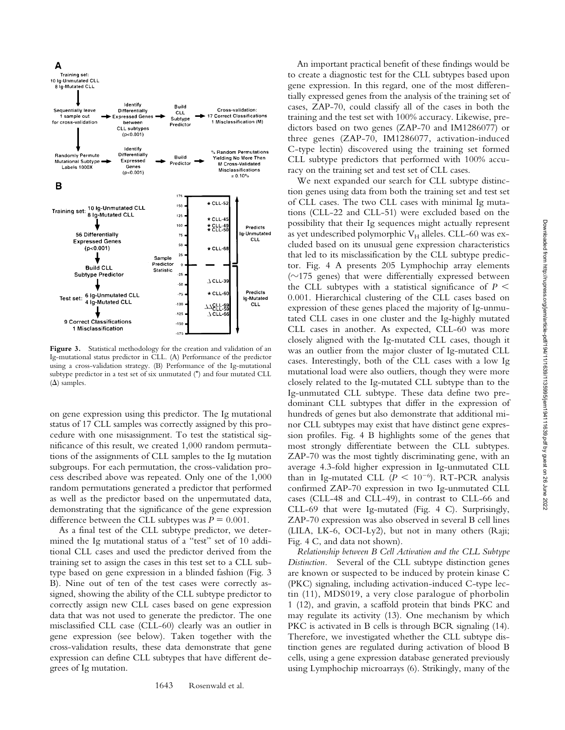

Figure 3. Statistical methodology for the creation and validation of an Ig-mutational status predictor in CLL. (A) Performance of the predictor using a cross-validation strategy. (B) Performance of the Ig-mutational subtype predictor in a test set of six unmutated (\*) and four mutated CLL  $(\Delta)$  samples.

on gene expression using this predictor. The Ig mutational status of 17 CLL samples was correctly assigned by this procedure with one misassignment. To test the statistical significance of this result, we created 1,000 random permutations of the assignments of CLL samples to the Ig mutation subgroups. For each permutation, the cross-validation process described above was repeated. Only one of the 1,000 random permutations generated a predictor that performed as well as the predictor based on the unpermutated data, demonstrating that the significance of the gene expression difference between the CLL subtypes was  $P = 0.001$ .

As a final test of the CLL subtype predictor, we determined the Ig mutational status of a "test" set of 10 additional CLL cases and used the predictor derived from the training set to assign the cases in this test set to a CLL subtype based on gene expression in a blinded fashion (Fig. 3 B). Nine out of ten of the test cases were correctly assigned, showing the ability of the CLL subtype predictor to correctly assign new CLL cases based on gene expression data that was not used to generate the predictor. The one misclassified CLL case (CLL-60) clearly was an outlier in gene expression (see below). Taken together with the cross-validation results, these data demonstrate that gene expression can define CLL subtypes that have different degrees of Ig mutation.

An important practical benefit of these findings would be to create a diagnostic test for the CLL subtypes based upon gene expression. In this regard, one of the most differentially expressed genes from the analysis of the training set of cases, ZAP-70, could classify all of the cases in both the training and the test set with 100% accuracy. Likewise, predictors based on two genes (ZAP-70 and IM1286077) or three genes (ZAP-70, IM1286077, activation-induced C-type lectin) discovered using the training set formed CLL subtype predictors that performed with 100% accuracy on the training set and test set of CLL cases.

We next expanded our search for CLL subtype distinction genes using data from both the training set and test set of CLL cases. The two CLL cases with minimal Ig mutations (CLL-22 and CLL-51) were excluded based on the possibility that their Ig sequences might actually represent as yet undescribed polymorphic  $V_H$  alleles. CLL-60 was excluded based on its unusual gene expression characteristics that led to its misclassification by the CLL subtype predictor. Fig. 4 A presents 205 Lymphochip array elements  $(\sim$ 175 genes) that were differentially expressed between the CLL subtypes with a statistical significance of  $P \leq$ 0.001. Hierarchical clustering of the CLL cases based on expression of these genes placed the majority of Ig-unmutated CLL cases in one cluster and the Ig-highly mutated CLL cases in another. As expected, CLL-60 was more closely aligned with the Ig-mutated CLL cases, though it was an outlier from the major cluster of Ig-mutated CLL cases. Interestingly, both of the CLL cases with a low Ig mutational load were also outliers, though they were more closely related to the Ig-mutated CLL subtype than to the Ig-unmutated CLL subtype. These data define two predominant CLL subtypes that differ in the expression of hundreds of genes but also demonstrate that additional minor CLL subtypes may exist that have distinct gene expression profiles. Fig. 4 B highlights some of the genes that most strongly differentiate between the CLL subtypes. ZAP-70 was the most tightly discriminating gene, with an average 4.3-fold higher expression in Ig-unmutated CLL than in Ig-mutated CLL  $(P < 10^{-6})$ . RT-PCR analysis confirmed ZAP-70 expression in two Ig-unmutated CLL cases (CLL-48 and CLL-49), in contrast to CLL-66 and CLL-69 that were Ig-mutated (Fig. 4 C). Surprisingly, ZAP-70 expression was also observed in several B cell lines (LILA, LK-6, OCI-Ly2), but not in many others (Raji; Fig. 4 C, and data not shown).

*Relationship between B Cell Activation and the CLL Subtype Distinction.* Several of the CLL subtype distinction genes are known or suspected to be induced by protein kinase C (PKC) signaling, including activation-induced C-type lectin (11), MDS019, a very close paralogue of phorbolin 1 (12), and gravin, a scaffold protein that binds PKC and may regulate its activity (13). One mechanism by which PKC is activated in B cells is through BCR signaling (14). Therefore, we investigated whether the CLL subtype distinction genes are regulated during activation of blood B cells, using a gene expression database generated previously using Lymphochip microarrays (6). Strikingly, many of the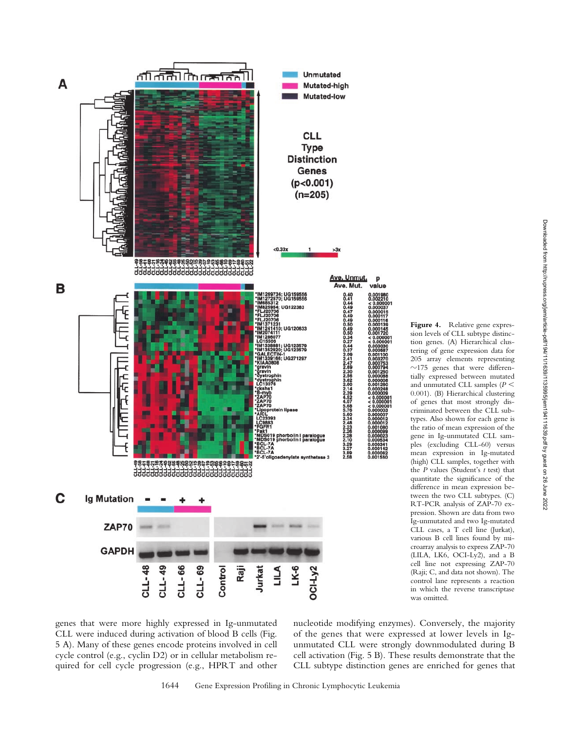

**Figure 4.** Relative gene expression levels of CLL subtype distinction genes. (A) Hierarchical clustering of gene expression data for 205 array elements representing  $\sim$ 175 genes that were differentially expressed between mutated and unmutated CLL samples (*P*  0.001). (B) Hierarchical clustering of genes that most strongly discriminated between the CLL subtypes. Also shown for each gene is the ratio of mean expression of the gene in Ig-unmutated CLL samples (excluding CLL-60) versus mean expression in Ig-mutated (high) CLL samples, together with the *P* values (Student's *t* test) that quantitate the significance of the difference in mean expression between the two CLL subtypes. (C) RT-PCR analysis of ZAP-70 expression. Shown are data from two Ig-unmutated and two Ig-mutated CLL cases, a T cell line (Jurkat), various B cell lines found by microarray analysis to express ZAP-70 (LILA, LK6, OCI-Ly2), and a B cell line not expressing ZAP-70 (Raji; C, and data not shown). The control lane represents a reaction in which the reverse transcriptase was omitted.

genes that were more highly expressed in Ig-unmutated CLL were induced during activation of blood B cells (Fig. 5 A). Many of these genes encode proteins involved in cell cycle control (e.g., cyclin D2) or in cellular metabolism required for cell cycle progression (e.g., HPRT and other nucleotide modifying enzymes). Conversely, the majority of the genes that were expressed at lower levels in Igunmutated CLL were strongly downmodulated during B cell activation (Fig. 5 B). These results demonstrate that the CLL subtype distinction genes are enriched for genes that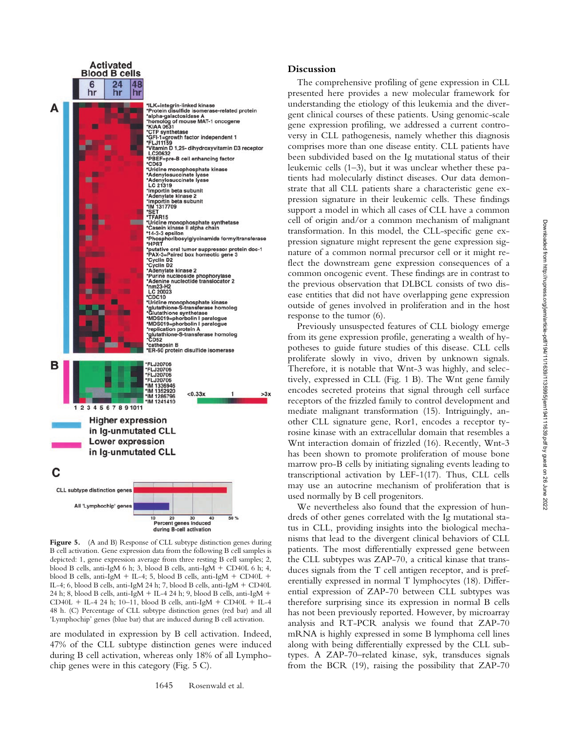

Figure 5. (A and B) Response of CLL subtype distinction genes during B cell activation. Gene expression data from the following B cell samples is depicted: 1, gene expression average from three resting B cell samples; 2, blood B cells, anti-IgM 6 h; 3, blood B cells, anti-IgM + CD40L 6 h; 4, blood B cells, anti-IgM + IL-4; 5, blood B cells, anti-IgM +  $CD40L$  + IL-4; 6, blood B cells, anti-IgM 24 h; 7, blood B cells, anti-IgM + CD40L  $24$  h; 8, blood B cells, anti-IgM + IL-4 24 h; 9, blood B cells, anti-IgM + CD40L + IL-4 24 h; 10-11, blood B cells, anti-IgM + CD40L + IL-4 48 h. (C) Percentage of CLL subtype distinction genes (red bar) and all 'Lymphochip' genes (blue bar) that are induced during B cell activation.

are modulated in expression by B cell activation. Indeed, 47% of the CLL subtype distinction genes were induced during B cell activation, whereas only 18% of all Lymphochip genes were in this category (Fig. 5 C).

## **Discussion**

The comprehensive profiling of gene expression in CLL presented here provides a new molecular framework for understanding the etiology of this leukemia and the divergent clinical courses of these patients. Using genomic-scale gene expression profiling, we addressed a current controversy in CLL pathogenesis, namely whether this diagnosis comprises more than one disease entity. CLL patients have been subdivided based on the Ig mutational status of their leukemic cells (1–3), but it was unclear whether these patients had molecularly distinct diseases. Our data demonstrate that all CLL patients share a characteristic gene expression signature in their leukemic cells. These findings support a model in which all cases of CLL have a common cell of origin and/or a common mechanism of malignant transformation. In this model, the CLL-specific gene expression signature might represent the gene expression signature of a common normal precursor cell or it might reflect the downstream gene expression consequences of a common oncogenic event. These findings are in contrast to the previous observation that DLBCL consists of two disease entities that did not have overlapping gene expression outside of genes involved in proliferation and in the host response to the tumor (6).

Previously unsuspected features of CLL biology emerge from its gene expression profile, generating a wealth of hypotheses to guide future studies of this disease. CLL cells proliferate slowly in vivo, driven by unknown signals. Therefore, it is notable that Wnt-3 was highly, and selectively, expressed in CLL (Fig. 1 B). The Wnt gene family encodes secreted proteins that signal through cell surface receptors of the frizzled family to control development and mediate malignant transformation (15). Intriguingly, another CLL signature gene, Ror1, encodes a receptor tyrosine kinase with an extracellular domain that resembles a Wnt interaction domain of frizzled (16). Recently, Wnt-3 has been shown to promote proliferation of mouse bone marrow pro-B cells by initiating signaling events leading to transcriptional activation by LEF-1(17). Thus, CLL cells may use an autocrine mechanism of proliferation that is used normally by B cell progenitors.

We nevertheless also found that the expression of hundreds of other genes correlated with the Ig mutational status in CLL, providing insights into the biological mechanisms that lead to the divergent clinical behaviors of CLL patients. The most differentially expressed gene between the CLL subtypes was ZAP-70, a critical kinase that transduces signals from the T cell antigen receptor, and is preferentially expressed in normal T lymphocytes (18). Differential expression of ZAP-70 between CLL subtypes was therefore surprising since its expression in normal B cells has not been previously reported. However, by microarray analysis and RT-PCR analysis we found that ZAP-70 mRNA is highly expressed in some B lymphoma cell lines along with being differentially expressed by the CLL subtypes. A ZAP-70–related kinase, syk, transduces signals from the BCR (19), raising the possibility that ZAP-70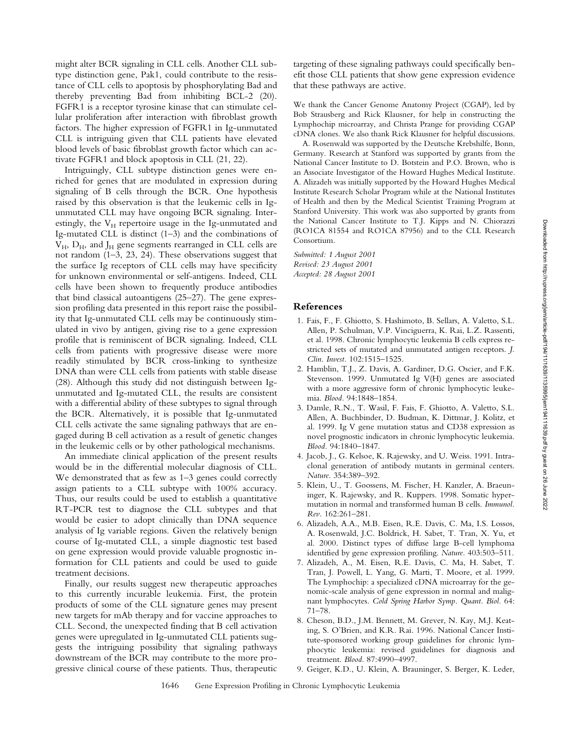might alter BCR signaling in CLL cells. Another CLL subtype distinction gene, Pak1, could contribute to the resistance of CLL cells to apoptosis by phosphorylating Bad and thereby preventing Bad from inhibiting BCL-2 (20). FGFR1 is a receptor tyrosine kinase that can stimulate cellular proliferation after interaction with fibroblast growth factors. The higher expression of FGFR1 in Ig-unmutated CLL is intriguing given that CLL patients have elevated blood levels of basic fibroblast growth factor which can activate FGFR1 and block apoptosis in CLL (21, 22).

Intriguingly, CLL subtype distinction genes were enriched for genes that are modulated in expression during signaling of B cells through the BCR. One hypothesis raised by this observation is that the leukemic cells in Igunmutated CLL may have ongoing BCR signaling. Interestingly, the  $V_H$  repertoire usage in the Ig-unmutated and Ig-mutated CLL is distinct (1–3) and the combinations of  $V_H$ ,  $D_H$ , and  $J_H$  gene segments rearranged in CLL cells are not random (1–3, 23, 24). These observations suggest that the surface Ig receptors of CLL cells may have specificity for unknown environmental or self-antigens. Indeed, CLL cells have been shown to frequently produce antibodies that bind classical autoantigens (25–27). The gene expression profiling data presented in this report raise the possibility that Ig-unmutated CLL cells may be continuously stimulated in vivo by antigen, giving rise to a gene expression profile that is reminiscent of BCR signaling. Indeed, CLL cells from patients with progressive disease were more readily stimulated by BCR cross-linking to synthesize DNA than were CLL cells from patients with stable disease (28). Although this study did not distinguish between Igunmutated and Ig-mutated CLL, the results are consistent with a differential ability of these subtypes to signal through the BCR. Alternatively, it is possible that Ig-unmutated CLL cells activate the same signaling pathways that are engaged during B cell activation as a result of genetic changes in the leukemic cells or by other pathological mechanisms.

An immediate clinical application of the present results would be in the differential molecular diagnosis of CLL. We demonstrated that as few as 1–3 genes could correctly assign patients to a CLL subtype with 100% accuracy. Thus, our results could be used to establish a quantitative RT-PCR test to diagnose the CLL subtypes and that would be easier to adopt clinically than DNA sequence analysis of Ig variable regions. Given the relatively benign course of Ig-mutated CLL, a simple diagnostic test based on gene expression would provide valuable prognostic information for CLL patients and could be used to guide treatment decisions.

Finally, our results suggest new therapeutic approaches to this currently incurable leukemia. First, the protein products of some of the CLL signature genes may present new targets for mAb therapy and for vaccine approaches to CLL. Second, the unexpected finding that B cell activation genes were upregulated in Ig-unmutated CLL patients suggests the intriguing possibility that signaling pathways downstream of the BCR may contribute to the more progressive clinical course of these patients. Thus, therapeutic targeting of these signaling pathways could specifically benefit those CLL patients that show gene expression evidence that these pathways are active.

We thank the Cancer Genome Anatomy Project (CGAP), led by Bob Strausberg and Rick Klausner, for help in constructing the Lymphochip microarray, and Christa Prange for providing CGAP cDNA clones. We also thank Rick Klausner for helpful discussions.

A. Rosenwald was supported by the Deutsche Krebshilfe, Bonn, Germany. Research at Stanford was supported by grants from the National Cancer Institute to D. Botstein and P.O. Brown, who is an Associate Investigator of the Howard Hughes Medical Institute. A. Alizadeh was initially supported by the Howard Hughes Medical Institute Research Scholar Program while at the National Institutes of Health and then by the Medical Scientist Training Program at Stanford University. This work was also supported by grants from the National Cancer Institute to T.J. Kipps and N. Chiorazzi (RO1CA 81554 and RO1CA 87956) and to the CLL Research Consortium.

*Submitted: 1 August 2001 Revised: 23 August 2001 Accepted: 28 August 2001*

### **References**

- 1. Fais, F., F. Ghiotto, S. Hashimoto, B. Sellars, A. Valetto, S.L. Allen, P. Schulman, V.P. Vinciguerra, K. Rai, L.Z. Rassenti, et al. 1998. Chronic lymphocytic leukemia B cells express restricted sets of mutated and unmutated antigen receptors. *J. Clin. Invest.* 102:1515–1525.
- 2. Hamblin, T.J., Z. Davis, A. Gardiner, D.G. Oscier, and F.K. Stevenson. 1999. Unmutated Ig V(H) genes are associated with a more aggressive form of chronic lymphocytic leukemia. *Blood.* 94:1848–1854.
- 3. Damle, R.N., T. Wasil, F. Fais, F. Ghiotto, A. Valetto, S.L. Allen, A. Buchbinder, D. Budman, K. Dittmar, J. Kolitz, et al. 1999. Ig V gene mutation status and CD38 expression as novel prognostic indicators in chronic lymphocytic leukemia. *Blood.* 94:1840–1847.
- 4. Jacob, J., G. Kelsoe, K. Rajewsky, and U. Weiss. 1991. Intraclonal generation of antibody mutants in germinal centers. *Nature.* 354:389–392.
- 5. Klein, U., T. Goossens, M. Fischer, H. Kanzler, A. Braeuninger, K. Rajewsky, and R. Kuppers. 1998. Somatic hypermutation in normal and transformed human B cells. *Immunol. Rev.* 162:261–281.
- 6. Alizadeh, A.A., M.B. Eisen, R.E. Davis, C. Ma, I.S. Lossos, A. Rosenwald, J.C. Boldrick, H. Sabet, T. Tran, X. Yu, et al. 2000. Distinct types of diffuse large B-cell lymphoma identified by gene expression profiling. *Nature.* 403:503–511.
- 7. Alizadeh, A., M. Eisen, R.E. Davis, C. Ma, H. Sabet, T. Tran, J. Powell, L. Yang, G. Marti, T. Moore, et al. 1999. The Lymphochip: a specialized cDNA microarray for the genomic-scale analysis of gene expression in normal and malignant lymphocytes. *Cold Spring Harbor Symp. Quant. Biol.* 64: 71–78.
- 8. Cheson, B.D., J.M. Bennett, M. Grever, N. Kay, M.J. Keating, S. O'Brien, and K.R. Rai. 1996. National Cancer Institute-sponsored working group guidelines for chronic lymphocytic leukemia: revised guidelines for diagnosis and treatment. *Blood.* 87:4990–4997.
- 9. Geiger, K.D., U. Klein, A. Brauninger, S. Berger, K. Leder,